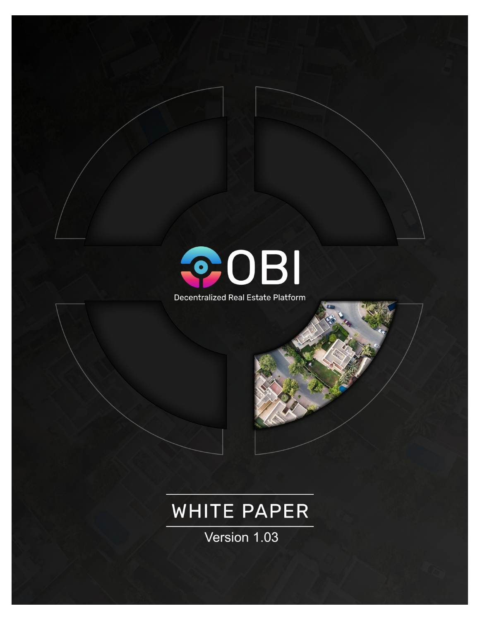

Decentralized Real Estate Platform

# **WHITE PAPER**

Version 1.03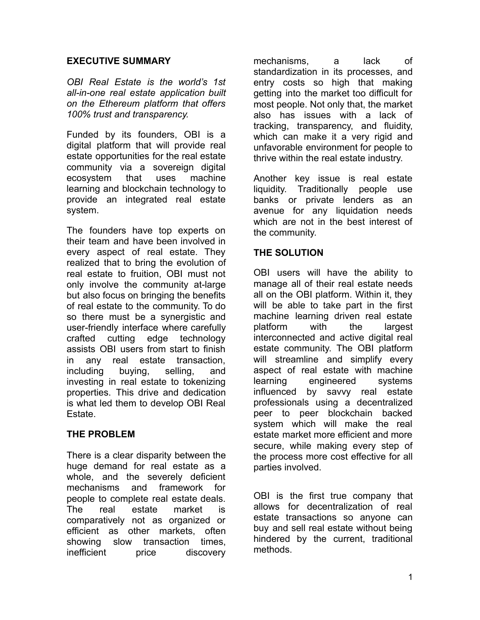## **EXECUTIVE SUMMARY**

*OBI Real Estate is the world's 1st all-in-one real estate application built on the Ethereum platform that offers 100% trust and transparency.*

Funded by its founders, OBI is a digital platform that will provide real estate opportunities for the real estate community via a sovereign digital ecosystem that uses machine learning and blockchain technology to provide an integrated real estate system.

The founders have top experts on their team and have been involved in every aspect of real estate. They realized that to bring the evolution of real estate to fruition, OBI must not only involve the community at-large but also focus on bringing the benefits of real estate to the community. To do so there must be a synergistic and user-friendly interface where carefully crafted cutting edge technology assists OBI users from start to finish in any real estate transaction, including buying, selling, and investing in real estate to tokenizing properties. This drive and dedication is what led them to develop OBI Real Estate.

# **THE PROBLEM**

There is a clear disparity between the huge demand for real estate as a whole, and the severely deficient mechanisms and framework for people to complete real estate deals. The real estate market is comparatively not as organized or efficient as other markets, often showing slow transaction times, inefficient price discovery

mechanisms, a lack of standardization in its processes, and entry costs so high that making getting into the market too difficult for most people. Not only that, the market also has issues with a lack of tracking, transparency, and fluidity, which can make it a very rigid and unfavorable environment for people to thrive within the real estate industry.

Another key issue is real estate liquidity. Traditionally people use banks or private lenders as an avenue for any liquidation needs which are not in the best interest of the community.

# **THE SOLUTION**

OBI users will have the ability to manage all of their real estate needs all on the OBI platform. Within it, they will be able to take part in the first machine learning driven real estate platform with the largest interconnected and active digital real estate community. The OBI platform will streamline and simplify every aspect of real estate with machine learning engineered systems influenced by savvy real estate professionals using a decentralized peer to peer blockchain backed system which will make the real estate market more efficient and more secure, while making every step of the process more cost effective for all parties involved.

OBI is the first true company that allows for decentralization of real estate transactions so anyone can buy and sell real estate without being hindered by the current, traditional methods.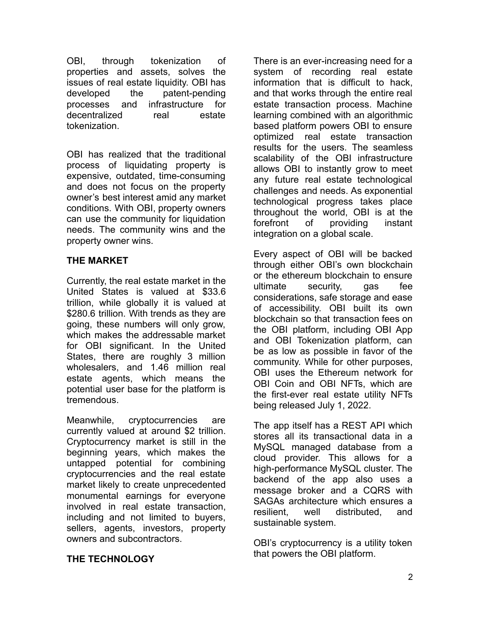OBI, through tokenization of properties and assets, solves the issues of real estate liquidity. OBI has developed the patent-pending processes and infrastructure for decentralized real estate tokenization.

OBI has realized that the traditional process of liquidating property is expensive, outdated, time-consuming and does not focus on the property owner's best interest amid any market conditions. With OBI, property owners can use the community for liquidation needs. The community wins and the property owner wins.

# **THE MARKET**

Currently, the real estate market in the United States is valued at \$33.6 trillion, while globally it is valued at \$280.6 trillion. With trends as they are going, these numbers will only grow, which makes the addressable market for OBI significant. In the United States, there are roughly 3 million wholesalers, and 1.46 million real estate agents, which means the potential user base for the platform is tremendous.

Meanwhile, cryptocurrencies are currently valued at around \$2 trillion. Cryptocurrency market is still in the beginning years, which makes the untapped potential for combining cryptocurrencies and the real estate market likely to create unprecedented monumental earnings for everyone involved in real estate transaction, including and not limited to buyers, sellers, agents, investors, property owners and subcontractors.

There is an ever-increasing need for a system of recording real estate information that is difficult to hack, and that works through the entire real estate transaction process. Machine learning combined with an algorithmic based platform powers OBI to ensure optimized real estate transaction results for the users. The seamless scalability of the OBI infrastructure allows OBI to instantly grow to meet any future real estate technological challenges and needs. As exponential technological progress takes place throughout the world, OBI is at the forefront of providing instant integration on a global scale.

Every aspect of OBI will be backed through either OBI's own blockchain or the ethereum blockchain to ensure ultimate security, gas fee considerations, safe storage and ease of accessibility. OBI built its own blockchain so that transaction fees on the OBI platform, including OBI App and OBI Tokenization platform, can be as low as possible in favor of the community. While for other purposes, OBI uses the Ethereum network for OBI Coin and OBI NFTs, which are the first-ever real estate utility NFTs being released July 1, 2022.

The app itself has a REST API which stores all its transactional data in a MySQL managed database from a cloud provider. This allows for a high-performance MySQL cluster. The backend of the app also uses a message broker and a CQRS with SAGAs architecture which ensures a resilient, well distributed, and sustainable system.

OBI's cryptocurrency is a utility token that powers the OBI platform.

# **THE TECHNOLOGY**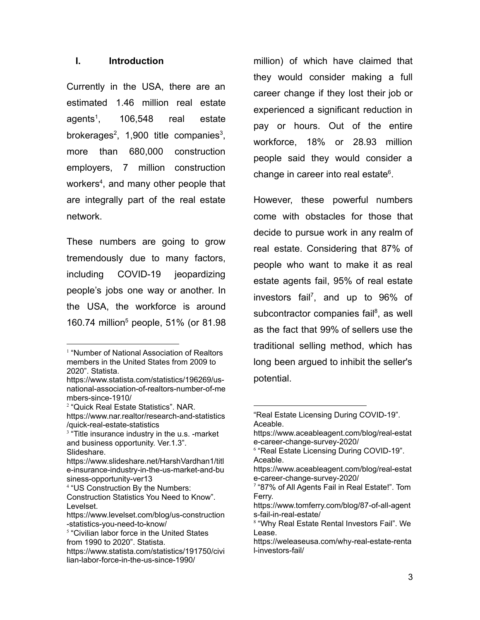#### **I. Introduction**

Currently in the USA, there are an estimated 1.46 million real estate agents<sup>1</sup>. , 106,548 real estate brokerages<sup>2</sup>, 1,900 title companies<sup>3</sup>, more than 680,000 construction employers, 7 million construction workers<sup>4</sup>, and many other people that are integrally part of the real estate network.

These numbers are going to grow tremendously due to many factors, including COVID-19 jeopardizing people's jobs one way or another. In the USA, the workforce is around 160.74 million<sup>5</sup> people, 51% (or 81.98

million) of which have claimed that they would consider making a full career change if they lost their job or experienced a significant reduction in pay or hours. Out of the entire workforce, 18% or 28.93 million people said they would consider a change in career into real estate<sup>6</sup>.

However, these powerful numbers come with obstacles for those that decide to pursue work in any realm of real estate. Considering that 87% of people who want to make it as real estate agents fail, 95% of real estate investors fail<sup>7</sup> , and up to 96% of subcontractor companies fail<sup>8</sup>, as well as the fact that 99% of sellers use the traditional selling method, which has long been argued to inhibit the seller's potential.

<sup>&</sup>lt;sup>1</sup> "Number of National Association of Realtors members in the United States from 2009 to 2020". Statista.

[https://www.statista.com/statistics/196269/us](https://www.statista.com/statistics/196269/us-national-association-of-realtors-number-of-members-since-1910/)[national-association-of-realtors-number-of-me](https://www.statista.com/statistics/196269/us-national-association-of-realtors-number-of-members-since-1910/) [mbers-since-1910/](https://www.statista.com/statistics/196269/us-national-association-of-realtors-number-of-members-since-1910/)

<sup>2</sup> "Quick Real Estate Statistics". NAR. [https://www.nar.realtor/research-and-statistics](https://www.nar.realtor/research-and-statistics/quick-real-estate-statistics) [/quick-real-estate-statistics](https://www.nar.realtor/research-and-statistics/quick-real-estate-statistics)

<sup>&</sup>lt;sup>3</sup> "Title insurance industry in the u.s. -market and business opportunity. Ver.1.3". Slideshare.

[https://www.slideshare.net/HarshVardhan1/titl](https://www.slideshare.net/HarshVardhan1/title-insurance-industry-in-the-us-market-and-business-opportunity-ver13) [e-insurance-industry-in-the-us-market-and-bu](https://www.slideshare.net/HarshVardhan1/title-insurance-industry-in-the-us-market-and-business-opportunity-ver13) [siness-opportunity-ver13](https://www.slideshare.net/HarshVardhan1/title-insurance-industry-in-the-us-market-and-business-opportunity-ver13)

<sup>4</sup> "US Construction By the Numbers:

Construction Statistics You Need to Know". Levelset.

[https://www.levelset.com/blog/us-construction](https://www.levelset.com/blog/us-construction-statistics-you-need-to-know/) [-statistics-you-need-to-know/](https://www.levelset.com/blog/us-construction-statistics-you-need-to-know/)

<sup>&</sup>lt;sup>5</sup> "Civilian labor force in the United States from 1990 to 2020". Statista.

[https://www.statista.com/statistics/191750/civi](https://www.statista.com/statistics/191750/civilian-labor-force-in-the-us-since-1990/) [lian-labor-force-in-the-us-since-1990/](https://www.statista.com/statistics/191750/civilian-labor-force-in-the-us-since-1990/)

<sup>&</sup>quot;Real Estate Licensing During COVID-19". Aceable.

[https://www.aceableagent.com/blog/real-estat](https://www.aceableagent.com/blog/real-estate-career-change-survey-2020/) [e-career-change-survey-2020/](https://www.aceableagent.com/blog/real-estate-career-change-survey-2020/)

<sup>6</sup> "Real Estate Licensing During COVID-19". Aceable.

[https://www.aceableagent.com/blog/real-estat](https://www.aceableagent.com/blog/real-estate-career-change-survey-2020/) [e-career-change-survey-2020/](https://www.aceableagent.com/blog/real-estate-career-change-survey-2020/)

<sup>7</sup> "87% of All Agents Fail in Real Estate!". Tom Ferry.

[https://www.tomferry.com/blog/87-of-all-agent](https://www.tomferry.com/blog/87-of-all-agents-fail-in-real-estate/) [s-fail-in-real-estate/](https://www.tomferry.com/blog/87-of-all-agents-fail-in-real-estate/)

<sup>8</sup> "Why Real Estate Rental Investors Fail". We Lease.

[https://weleaseusa.com/why-real-estate-renta](https://weleaseusa.com/why-real-estate-rental-investors-fail/) [l-investors-fail/](https://weleaseusa.com/why-real-estate-rental-investors-fail/)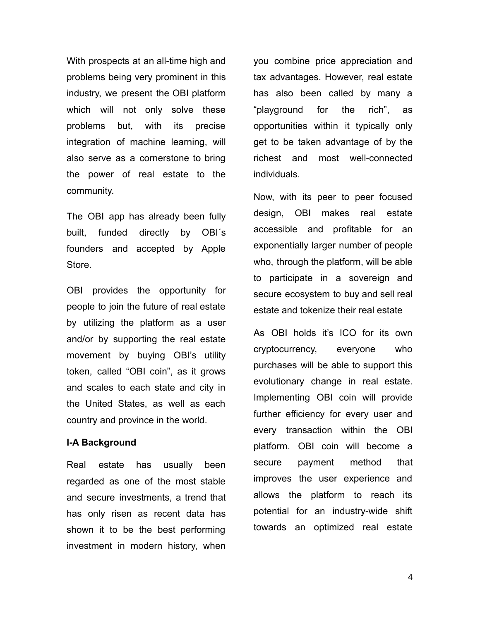With prospects at an all-time high and problems being very prominent in this industry, we present the OBI platform which will not only solve these problems but, with its precise integration of machine learning, will also serve as a cornerstone to bring the power of real estate to the community.

The OBI app has already been fully built, funded directly by OBI´s founders and accepted by Apple Store.

OBI provides the opportunity for people to join the future of real estate by utilizing the platform as a user and/or by supporting the real estate movement by buying OBI's utility token, called "OBI coin", as it grows and scales to each state and city in the United States, as well as each country and province in the world.

#### **I-A Background**

Real estate has usually been regarded as one of the most stable and secure investments, a trend that has only risen as recent data has shown it to be the best performing investment in modern history, when you combine price appreciation and tax advantages. However, real estate has also been called by many a "playground for the rich", as opportunities within it typically only get to be taken advantage of by the richest and most well-connected individuals.

Now, with its peer to peer focused design, OBI makes real estate accessible and profitable for an exponentially larger number of people who, through the platform, will be able to participate in a sovereign and secure ecosystem to buy and sell real estate and tokenize their real estate

As OBI holds it's ICO for its own cryptocurrency, everyone who purchases will be able to support this evolutionary change in real estate. Implementing OBI coin will provide further efficiency for every user and every transaction within the OBI platform. OBI coin will become a secure payment method that improves the user experience and allows the platform to reach its potential for an industry-wide shift towards an optimized real estate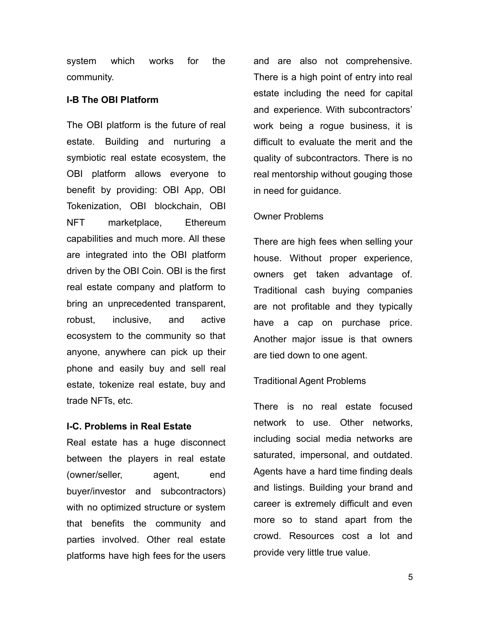system which works for the community.

#### **I-B The OBI Platform**

The OBI platform is the future of real estate. Building and nurturing a symbiotic real estate ecosystem, the OBI platform allows everyone to benefit by providing: OBI App, OBI Tokenization, OBI blockchain, OBI NFT marketplace, Ethereum capabilities and much more. All these are integrated into the OBI platform driven by the OBI Coin. OBI is the first real estate company and platform to bring an unprecedented transparent, robust, inclusive, and active ecosystem to the community so that anyone, anywhere can pick up their phone and easily buy and sell real estate, tokenize real estate, buy and trade NFTs, etc.

#### **I-C. Problems in Real Estate**

Real estate has a huge disconnect between the players in real estate (owner/seller, agent, end buyer/investor and subcontractors) with no optimized structure or system that benefits the community and parties involved. Other real estate platforms have high fees for the users

and are also not comprehensive. There is a high point of entry into real estate including the need for capital and experience. With subcontractors' work being a rogue business, it is difficult to evaluate the merit and the quality of subcontractors. There is no real mentorship without gouging those in need for guidance.

# Owner Problems

There are high fees when selling your house. Without proper experience, owners get taken advantage of. Traditional cash buying companies are not profitable and they typically have a cap on purchase price. Another major issue is that owners are tied down to one agent.

# Traditional Agent Problems

There is no real estate focused network to use. Other networks, including social media networks are saturated, impersonal, and outdated. Agents have a hard time finding deals and listings. Building your brand and career is extremely difficult and even more so to stand apart from the crowd. Resources cost a lot and provide very little true value.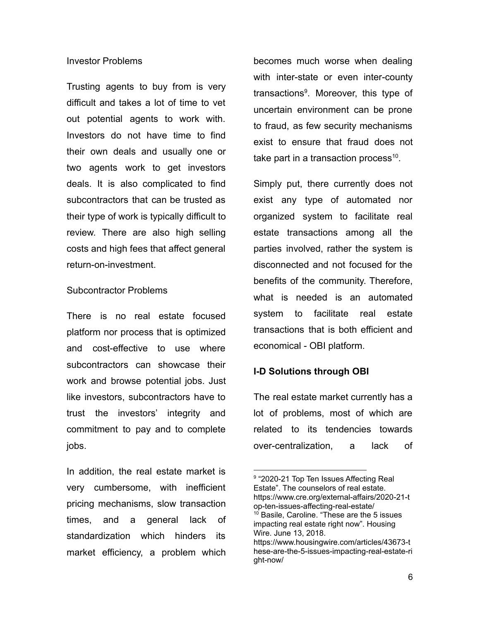#### Investor Problems

Trusting agents to buy from is very difficult and takes a lot of time to vet out potential agents to work with. Investors do not have time to find their own deals and usually one or two agents work to get investors deals. It is also complicated to find subcontractors that can be trusted as their type of work is typically difficult to review. There are also high selling costs and high fees that affect general return-on-investment.

#### Subcontractor Problems

There is no real estate focused platform nor process that is optimized and cost-effective to use where subcontractors can showcase their work and browse potential jobs. Just like investors, subcontractors have to trust the investors' integrity and commitment to pay and to complete jobs.

In addition, the real estate market is very cumbersome, with inefficient pricing mechanisms, slow transaction times, and a general lack of standardization which hinders its market efficiency, a problem which

becomes much worse when dealing with inter-state or even inter-county transactions<sup>9</sup>. Moreover, this type of uncertain environment can be prone to fraud, as few security mechanisms exist to ensure that fraud does not take part in a transaction process<sup>10</sup>.

Simply put, there currently does not exist any type of automated nor organized system to facilitate real estate transactions among all the parties involved, rather the system is disconnected and not focused for the benefits of the community. Therefore, what is needed is an automated system to facilitate real estate transactions that is both efficient and economical - OBI platform.

#### **I-D Solutions through OBI**

The real estate market currently has a lot of problems, most of which are related to its tendencies towards over-centralization, a lack of

<sup>&</sup>lt;sup>10</sup> Basile, Caroline. "These are the 5 issues impacting real estate right now". Housing Wire. June 13, 2018. https://www.housingwire.com/articles/43673-t <sup>9</sup> "2020-21 Top Ten Issues Affecting Real Estate". The counselors of real estate. https://www.cre.org/external-affairs/2020-21-t op-ten-issues-affecting-real-estate/

hese-are-the-5-issues-impacting-real-estate-ri ght-now/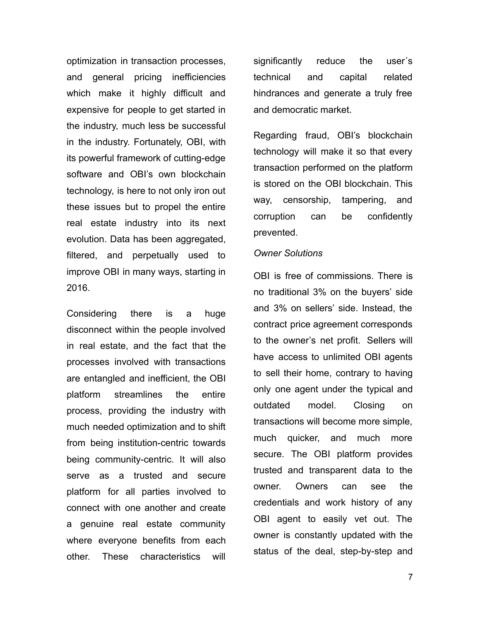optimization in transaction processes, and general pricing inefficiencies which make it highly difficult and expensive for people to get started in the industry, much less be successful in the industry. Fortunately, OBI, with its powerful framework of cutting-edge software and OBI's own blockchain technology, is here to not only iron out these issues but to propel the entire real estate industry into its next evolution. Data has been aggregated, filtered, and perpetually used to improve OBI in many ways, starting in 2016.

Considering there is a huge disconnect within the people involved in real estate, and the fact that the processes involved with transactions are entangled and inefficient, the OBI platform streamlines the entire process, providing the industry with much needed optimization and to shift from being institution-centric towards being community-centric. It will also serve as a trusted and secure platform for all parties involved to connect with one another and create a genuine real estate community where everyone benefits from each other. These characteristics will

significantly reduce the user´s technical and capital related hindrances and generate a truly free and democratic market.

Regarding fraud, OBI's blockchain technology will make it so that every transaction performed on the platform is stored on the OBI blockchain. This way, censorship, tampering, and corruption can be confidently prevented.

#### *Owner Solutions*

OBI is free of commissions. There is no traditional 3% on the buyers' side and 3% on sellers' side. Instead, the contract price agreement corresponds to the owner's net profit. Sellers will have access to unlimited OBI agents to sell their home, contrary to having only one agent under the typical and outdated model. Closing on transactions will become more simple, much quicker, and much more secure. The OBI platform provides trusted and transparent data to the owner. Owners can see the credentials and work history of any OBI agent to easily vet out. The owner is constantly updated with the status of the deal, step-by-step and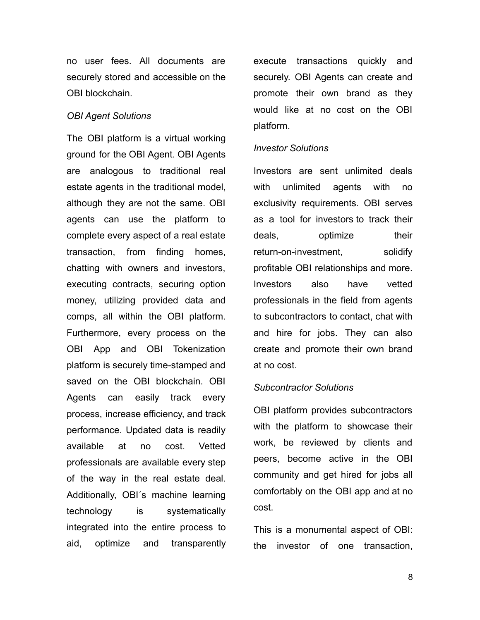no user fees. All documents are securely stored and accessible on the OBI blockchain.

#### *OBI Agent Solutions*

The OBI platform is a virtual working ground for the OBI Agent. OBI Agents are analogous to traditional real estate agents in the traditional model, although they are not the same. OBI agents can use the platform to complete every aspect of a real estate transaction, from finding homes, chatting with owners and investors, executing contracts, securing option money, utilizing provided data and comps, all within the OBI platform. Furthermore, every process on the OBI App and OBI Tokenization platform is securely time-stamped and saved on the OBI blockchain. OBI Agents can easily track every process, increase efficiency, and track performance. Updated data is readily available at no cost. Vetted professionals are available every step of the way in the real estate deal. Additionally, OBI´s machine learning technology is systematically integrated into the entire process to aid, optimize and transparently execute transactions quickly and securely. OBI Agents can create and promote their own brand as they would like at no cost on the OBI platform.

#### *Investor Solutions*

Investors are sent unlimited deals with unlimited agents with no exclusivity requirements. OBI serves as a tool for investors to track their deals, optimize their return-on-investment, solidify profitable OBI relationships and more. Investors also have vetted professionals in the field from agents to subcontractors to contact, chat with and hire for jobs. They can also create and promote their own brand at no cost.

#### *Subcontractor Solutions*

OBI platform provides subcontractors with the platform to showcase their work, be reviewed by clients and peers, become active in the OBI community and get hired for jobs all comfortably on the OBI app and at no cost.

This is a monumental aspect of OBI: the investor of one transaction,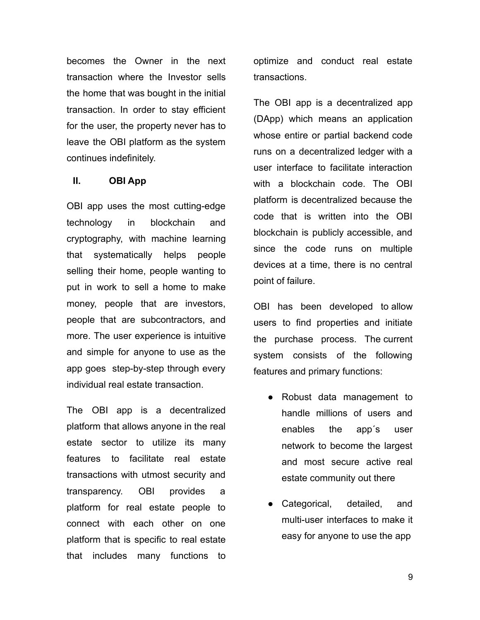becomes the Owner in the next transaction where the Investor sells the home that was bought in the initial transaction. In order to stay efficient for the user, the property never has to leave the OBI platform as the system continues indefinitely.

# **II. OBI App**

OBI app uses the most cutting-edge technology in blockchain and cryptography, with machine learning that systematically helps people selling their home, people wanting to put in work to sell a home to make money, people that are investors, people that are subcontractors, and more. The user experience is intuitive and simple for anyone to use as the app goes step-by-step through every individual real estate transaction.

The OBI app is a decentralized platform that allows anyone in the real estate sector to utilize its many features to facilitate real estate transactions with utmost security and transparency. OBI provides a platform for real estate people to connect with each other on one platform that is specific to real estate that includes many functions to

optimize and conduct real estate transactions.

The OBI app is a decentralized app (DApp) which means an application whose entire or partial backend code runs on a decentralized ledger with a user interface to facilitate interaction with a blockchain code. The OBI platform is decentralized because the code that is written into the OBI blockchain is publicly accessible, and since the code runs on multiple devices at a time, there is no central point of failure.

OBI has been developed to allow users to find properties and initiate the purchase process. The current system consists of the following features and primary functions:

- Robust data management to handle millions of users and enables the app´s user network to become the largest and most secure active real estate community out there
- Categorical, detailed, and multi-user interfaces to make it easy for anyone to use the app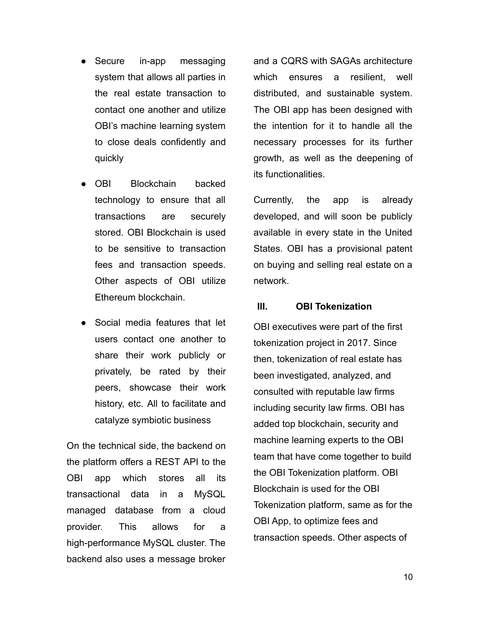- Secure in-app messaging system that allows all parties in the real estate transaction to contact one another and utilize OBI's machine learning system to close deals confidently and quickly
- OBI Blockchain backed technology to ensure that all transactions are securely stored. OBI Blockchain is used to be sensitive to transaction fees and transaction speeds. Other aspects of OBI utilize Ethereum blockchain.
- Social media features that let users contact one another to share their work publicly or privately, be rated by their peers, showcase their work history, etc. All to facilitate and catalyze symbiotic business

On the technical side, the backend on the platform offers a REST API to the OBI app which stores all its transactional data in a MySQL managed database from a cloud provider. This allows for a high-performance MySQL cluster. The backend also uses a message broker

and a CQRS with SAGAs architecture which ensures a resilient, well distributed, and sustainable system. The OBI app has been designed with the intention for it to handle all the necessary processes for its further growth, as well as the deepening of its functionalities.

Currently, the app is already developed, and will soon be publicly available in every state in the United States. OBI has a provisional patent on buying and selling real estate on a network.

#### **III. OBI Tokenization**

OBI executives were part of the first tokenization project in 2017. Since then, tokenization of real estate has been investigated, analyzed, and consulted with reputable law firms including security law firms. OBI has added top blockchain, security and machine learning experts to the OBI team that have come together to build the OBI Tokenization platform. OBI Blockchain is used for the OBI Tokenization platform, same as for the OBI App, to optimize fees and transaction speeds. Other aspects of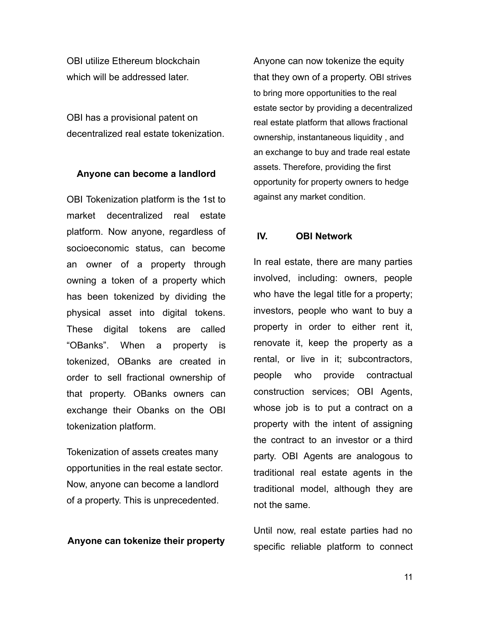OBI utilize Ethereum blockchain which will be addressed later.

OBI has a provisional patent on decentralized real estate tokenization.

#### **Anyone can become a landlord**

OBI Tokenization platform is the 1st to market decentralized real estate platform. Now anyone, regardless of socioeconomic status, can become an owner of a property through owning a token of a property which has been tokenized by dividing the physical asset into digital tokens. These digital tokens are called "OBanks". When a property is tokenized, OBanks are created in order to sell fractional ownership of that property. OBanks owners can exchange their Obanks on the OBI tokenization platform.

Tokenization of assets creates many opportunities in the real estate sector. Now, anyone can become a landlord of a property. This is unprecedented.

#### **Anyone can tokenize their property**

Anyone can now tokenize the equity that they own of a property. OBI strives to bring more opportunities to the real estate sector by providing a decentralized real estate platform that allows fractional ownership, instantaneous liquidity , and an exchange to buy and trade real estate assets. Therefore, providing the first opportunity for property owners to hedge against any market condition.

## **IV. OBI Network**

In real estate, there are many parties involved, including: owners, people who have the legal title for a property; investors, people who want to buy a property in order to either rent it, renovate it, keep the property as a rental, or live in it; subcontractors, people who provide contractual construction services; OBI Agents, whose job is to put a contract on a property with the intent of assigning the contract to an investor or a third party. OBI Agents are analogous to traditional real estate agents in the traditional model, although they are not the same.

Until now, real estate parties had no specific reliable platform to connect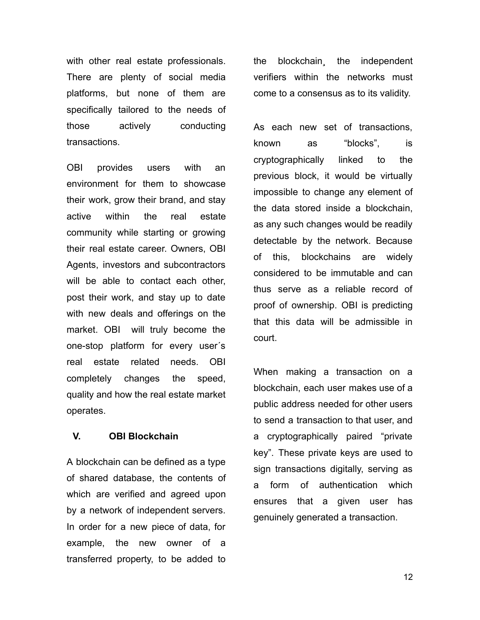with other real estate professionals. There are plenty of social media platforms, but none of them are specifically tailored to the needs of those actively conducting transactions.

OBI provides users with an environment for them to showcase their work, grow their brand, and stay active within the real estate community while starting or growing their real estate career. Owners, OBI Agents, investors and subcontractors will be able to contact each other, post their work, and stay up to date with new deals and offerings on the market. OBI will truly become the one-stop platform for every user´s real estate related needs. OBI completely changes the speed, quality and how the real estate market operates.

#### **V. OBI Blockchain**

A blockchain can be defined as a type of shared database, the contents of which are verified and agreed upon by a network of independent servers. In order for a new piece of data, for example, the new owner of a transferred property, to be added to the blockchain¸ the independent verifiers within the networks must come to a consensus as to its validity.

As each new set of transactions, known as "blocks", is cryptographically linked to the previous block, it would be virtually impossible to change any element of the data stored inside a blockchain, as any such changes would be readily detectable by the network. Because of this, blockchains are widely considered to be immutable and can thus serve as a reliable record of proof of ownership. OBI is predicting that this data will be admissible in court.

When making a transaction on a blockchain, each user makes use of a public address needed for other users to send a transaction to that user, and a cryptographically paired "private key". These private keys are used to sign transactions digitally, serving as a form of authentication which ensures that a given user has genuinely generated a transaction.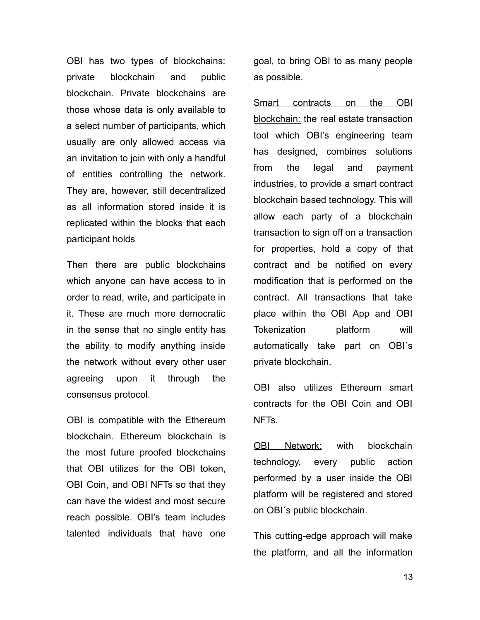OBI has two types of blockchains: private blockchain and public blockchain. Private blockchains are those whose data is only available to a select number of participants, which usually are only allowed access via an invitation to join with only a handful of entities controlling the network. They are, however, still decentralized as all information stored inside it is replicated within the blocks that each participant holds

Then there are public blockchains which anyone can have access to in order to read, write, and participate in it. These are much more democratic in the sense that no single entity has the ability to modify anything inside the network without every other user agreeing upon it through the consensus protocol.

OBI is compatible with the Ethereum blockchain. Ethereum blockchain is the most future proofed blockchains that OBI utilizes for the OBI token, OBI Coin, and OBI NFTs so that they can have the widest and most secure reach possible. OBI's team includes talented individuals that have one

goal, to bring OBI to as many people as possible.

Smart contracts on the OBI blockchain: the real estate transaction tool which OBI's engineering team has designed, combines solutions from the legal and payment industries, to provide a smart contract blockchain based technology. This will allow each party of a blockchain transaction to sign off on a transaction for properties, hold a copy of that contract and be notified on every modification that is performed on the contract. All transactions that take place within the OBI App and OBI Tokenization platform will automatically take part on OBI´s private blockchain.

OBI also utilizes Ethereum smart contracts for the OBI Coin and OBI NFTs.

OBI Network: with blockchain technology, every public action performed by a user inside the OBI platform will be registered and stored on OBI´s public blockchain.

This cutting-edge approach will make the platform, and all the information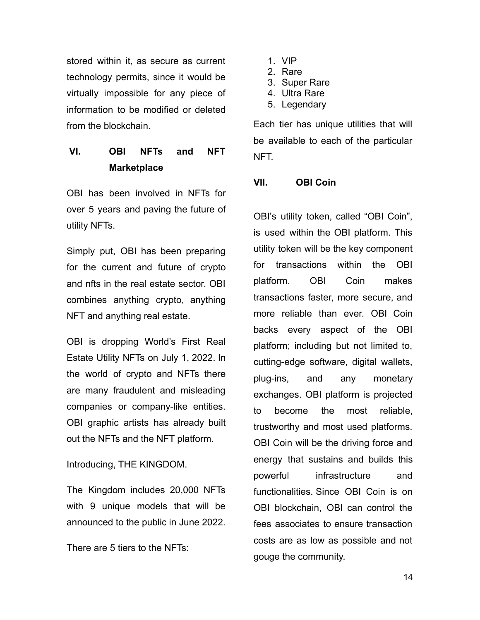stored within it, as secure as current technology permits, since it would be virtually impossible for any piece of information to be modified or deleted from the blockchain.

# **VI. OBI NFTs and NFT Marketplace**

OBI has been involved in NFTs for over 5 years and paving the future of utility NFTs.

Simply put, OBI has been preparing for the current and future of crypto and nfts in the real estate sector. OBI combines anything crypto, anything NFT and anything real estate.

OBI is dropping World's First Real Estate Utility NFTs on July 1, 2022. In the world of crypto and NFTs there are many fraudulent and misleading companies or company-like entities. OBI graphic artists has already built out the NFTs and the NFT platform.

# Introducing, THE KINGDOM.

The Kingdom includes 20,000 NFTs with 9 unique models that will be announced to the public in June 2022.

There are 5 tiers to the NFTs:

- 1. VIP
- 2. Rare
- 3. Super Rare
- 4. Ultra Rare
- 5. Legendary

Each tier has unique utilities that will be available to each of the particular NFT.

# **VII. OBI Coin**

OBI's utility token, called "OBI Coin", is used within the OBI platform. This utility token will be the key component for transactions within the OBI platform. OBI Coin makes transactions faster, more secure, and more reliable than ever. OBI Coin backs every aspect of the OBI platform; including but not limited to, cutting-edge software, digital wallets, plug-ins, and any monetary exchanges. OBI platform is projected to become the most reliable, trustworthy and most used platforms. OBI Coin will be the driving force and energy that sustains and builds this powerful infrastructure and functionalities. Since OBI Coin is on OBI blockchain, OBI can control the fees associates to ensure transaction costs are as low as possible and not gouge the community.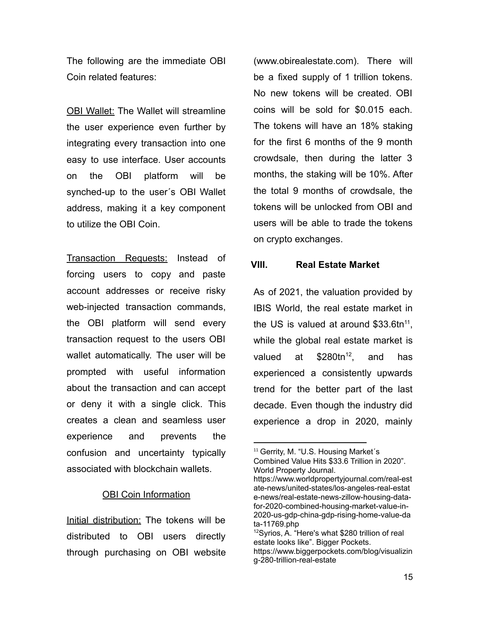The following are the immediate OBI Coin related features:

OBI Wallet: The Wallet will streamline the user experience even further by integrating every transaction into one easy to use interface. User accounts on the OBI platform will be synched-up to the user´s OBI Wallet address, making it a key component to utilize the OBI Coin.

Transaction Requests: Instead of forcing users to copy and paste account addresses or receive risky web-injected transaction commands, the OBI platform will send every transaction request to the users OBI wallet automatically. The user will be prompted with useful information about the transaction and can accept or deny it with a single click. This creates a clean and seamless user experience and prevents the confusion and uncertainty typically associated with blockchain wallets.

#### **OBI Coin Information**

Initial distribution: The tokens will be distributed to OBI users directly through purchasing on OBI website

(www.obirealestate.com). There will be a fixed supply of 1 trillion tokens. No new tokens will be created. OBI coins will be sold for \$0.015 each. The tokens will have an 18% staking for the first 6 months of the 9 month crowdsale, then during the latter 3 months, the staking will be 10%. After the total 9 months of crowdsale, the tokens will be unlocked from OBI and users will be able to trade the tokens on crypto exchanges.

#### **VIII. Real Estate Market**

As of 2021, the valuation provided by IBIS World, the real estate market in the US is valued at around  $$33.6$ tn<sup>11</sup>, while the global real estate market is valued at  $$280tn^{12}$ , and has experienced a consistently upwards trend for the better part of the last decade. Even though the industry did experience a drop in 2020, mainly

<sup>&</sup>lt;sup>11</sup> Gerrity, M. "U.S. Housing Market's Combined Value Hits \$33.6 Trillion in 2020". World Property Journal.

https://www.worldpropertyjournal.com/real-est ate-news/united-states/los-angeles-real-estat e-news/real-estate-news-zillow-housing-datafor-2020-combined-housing-market-value-in-2020-us-gdp-china-gdp-rising-home-value-da ta-11769.php

<sup>12</sup>Syrios, A. "Here's what \$280 trillion of real estate looks like". Bigger Pockets. https://www.biggerpockets.com/blog/visualizin g-280-trillion-real-estate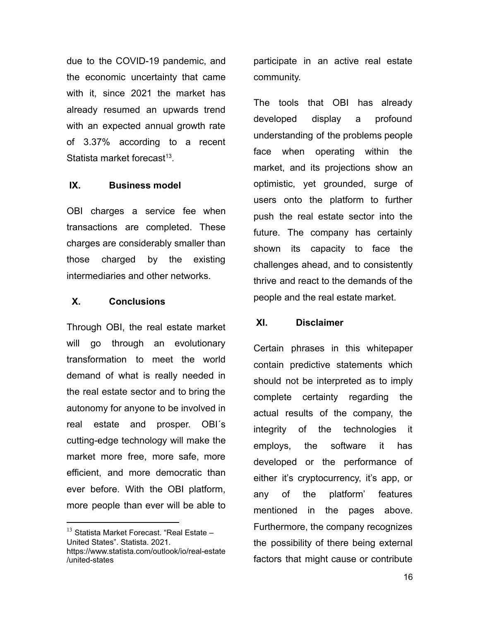due to the COVID-19 pandemic, and the economic uncertainty that came with it, since 2021 the market has already resumed an upwards trend with an expected annual growth rate of 3.37% according to a recent Statista market forecast<sup>13</sup>.

#### **IX. Business model**

OBI charges a service fee when transactions are completed. These charges are considerably smaller than those charged by the existing intermediaries and other networks.

#### **X. Conclusions**

Through OBI, the real estate market will go through an evolutionary transformation to meet the world demand of what is really needed in the real estate sector and to bring the autonomy for anyone to be involved in real estate and prosper. OBI´s cutting-edge technology will make the market more free, more safe, more efficient, and more democratic than ever before. With the OBI platform, more people than ever will be able to

participate in an active real estate community.

The tools that OBI has already developed display a profound understanding of the problems people face when operating within the market, and its projections show an optimistic, yet grounded, surge of users onto the platform to further push the real estate sector into the future. The company has certainly shown its capacity to face the challenges ahead, and to consistently thrive and react to the demands of the people and the real estate market.

#### **XI. Disclaimer**

Certain phrases in this whitepaper contain predictive statements which should not be interpreted as to imply complete certainty regarding the actual results of the company, the integrity of the technologies it employs, the software it has developed or the performance of either it's cryptocurrency, it's app, or any of the platform' features mentioned in the pages above. Furthermore, the company recognizes the possibility of there being external factors that might cause or contribute

 $13$  Statista Market Forecast. "Real Estate  $-$ United States". Statista. 2021. https://www.statista.com/outlook/io/real-estate /united-states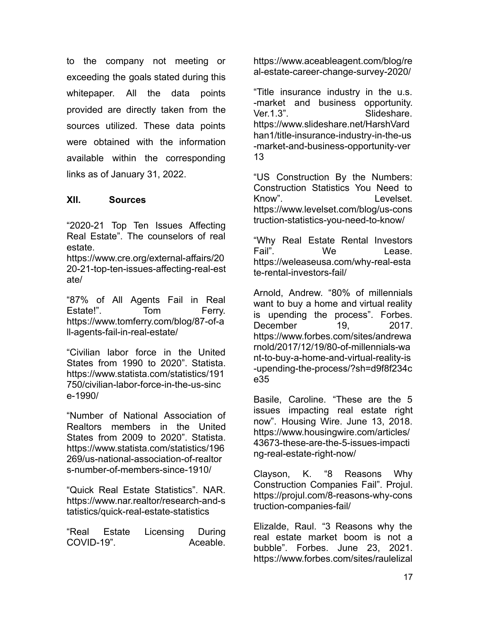to the company not meeting or exceeding the goals stated during this whitepaper. All the data points provided are directly taken from the sources utilized. These data points were obtained with the information available within the corresponding links as of January 31, 2022.

# **XII. Sources**

"2020-21 Top Ten Issues Affecting Real Estate". The counselors of real estate.

https://www.cre.org/external-affairs/20 20-21-top-ten-issues-affecting-real-est ate/

"87% of All Agents Fail in Real Estate!". Tom Ferry. [https://www.tomferry.com/blog/87-of-a](https://www.tomferry.com/blog/87-of-all-agents-fail-in-real-estate/) [ll-agents-fail-in-real-estate/](https://www.tomferry.com/blog/87-of-all-agents-fail-in-real-estate/)

"Civilian labor force in the United States from 1990 to 2020". Statista. [https://www.statista.com/statistics/191](https://www.statista.com/statistics/191750/civilian-labor-force-in-the-us-since-1990/) [750/civilian-labor-force-in-the-us-sinc](https://www.statista.com/statistics/191750/civilian-labor-force-in-the-us-since-1990/) [e-1990/](https://www.statista.com/statistics/191750/civilian-labor-force-in-the-us-since-1990/)

"Number of National Association of Realtors members in the United States from 2009 to 2020". Statista. [https://www.statista.com/statistics/196](https://www.statista.com/statistics/196269/us-national-association-of-realtors-number-of-members-since-1910/) [269/us-national-association-of-realtor](https://www.statista.com/statistics/196269/us-national-association-of-realtors-number-of-members-since-1910/) [s-number-of-members-since-1910/](https://www.statista.com/statistics/196269/us-national-association-of-realtors-number-of-members-since-1910/)

"Quick Real Estate Statistics". NAR. [https://www.nar.realtor/research-and-s](https://www.nar.realtor/research-and-statistics/quick-real-estate-statistics) [tatistics/quick-real-estate-statistics](https://www.nar.realtor/research-and-statistics/quick-real-estate-statistics)

"Real Estate Licensing During COVID-19". Aceable.

[https://www.aceableagent.com/blog/re](https://www.aceableagent.com/blog/real-estate-career-change-survey-2020/) [al-estate-career-change-survey-2020/](https://www.aceableagent.com/blog/real-estate-career-change-survey-2020/)

"Title insurance industry in the u.s. -market and business opportunity. Ver.1.3". Slideshare. [https://www.slideshare.net/HarshVard](https://www.slideshare.net/HarshVardhan1/title-insurance-industry-in-the-us-market-and-business-opportunity-ver13) [han1/title-insurance-industry-in-the-us](https://www.slideshare.net/HarshVardhan1/title-insurance-industry-in-the-us-market-and-business-opportunity-ver13) [-market-and-business-opportunity-ver](https://www.slideshare.net/HarshVardhan1/title-insurance-industry-in-the-us-market-and-business-opportunity-ver13) [13](https://www.slideshare.net/HarshVardhan1/title-insurance-industry-in-the-us-market-and-business-opportunity-ver13)

"US Construction By the Numbers: Construction Statistics You Need to Know". Levelset. [https://www.levelset.com/blog/us-cons](https://www.levelset.com/blog/us-construction-statistics-you-need-to-know/) [truction-statistics-you-need-to-know/](https://www.levelset.com/blog/us-construction-statistics-you-need-to-know/)

"Why Real Estate Rental Investors Fail" We lease [https://weleaseusa.com/why-real-esta](https://weleaseusa.com/why-real-estate-rental-investors-fail/) [te-rental-investors-fail/](https://weleaseusa.com/why-real-estate-rental-investors-fail/)

Arnold, Andrew. "80% of millennials want to buy a home and virtual reality is upending the process". Forbes. December 19, 2017. https://www.forbes.com/sites/andrewa rnold/2017/12/19/80-of-millennials-wa nt-to-buy-a-home-and-virtual-reality-is -upending-the-process/?sh=d9f8f234c e35

Basile, Caroline. "These are the 5 issues impacting real estate right now". Housing Wire. June 13, 2018. https://www.housingwire.com/articles/ 43673-these-are-the-5-issues-impacti ng-real-estate-right-now/

Clayson, K. "8 Reasons Why Construction Companies Fail". Projul. [https://projul.com/8-reasons-why-cons](https://projul.com/8-reasons-why-construction-companies-fail/) [truction-companies-fail/](https://projul.com/8-reasons-why-construction-companies-fail/)

Elizalde, Raul. "3 Reasons why the real estate market boom is not a bubble". Forbes. June 23, 2021. https://www.forbes.com/sites/raulelizal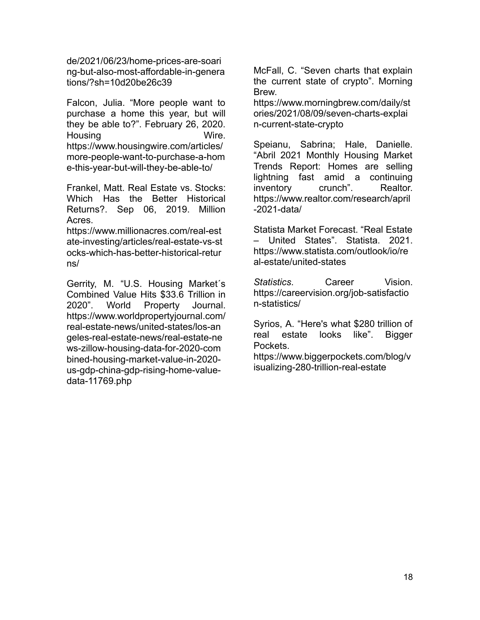de/2021/06/23/home-prices-are-soari ng-but-also-most-affordable-in-genera tions/?sh=10d20be26c39

Falcon, Julia. "More people want to purchase a home this year, but will they be able to?". February 26, 2020. Housing Wire. https://www.housingwire.com/articles/ more-people-want-to-purchase-a-hom e-this-year-but-will-they-be-able-to/

Frankel, Matt. Real Estate vs. Stocks: Which Has the Better Historical Returns?. Sep 06, 2019. Million Acres.

https://www.millionacres.com/real-est ate-investing/articles/real-estate-vs-st ocks-which-has-better-historical-retur ns/

Gerrity, M. "U.S. Housing Market´s Combined Value Hits \$33.6 Trillion in 2020". World Property Journal. https://www.worldpropertyjournal.com/ real-estate-news/united-states/los-an geles-real-estate-news/real-estate-ne ws-zillow-housing-data-for-2020-com bined-housing-market-value-in-2020 us-gdp-china-gdp-rising-home-valuedata-11769.php

McFall, C. "Seven charts that explain the current state of crypto". Morning Brew.

[https://www.morningbrew.com/daily/st](https://www.morningbrew.com/daily/stories/2021/08/09/seven-charts-explain-current-state-crypto) [ories/2021/08/09/seven-charts-explai](https://www.morningbrew.com/daily/stories/2021/08/09/seven-charts-explain-current-state-crypto) [n-current-state-crypto](https://www.morningbrew.com/daily/stories/2021/08/09/seven-charts-explain-current-state-crypto)

Speianu, Sabrina; Hale, Danielle. "Abril 2021 Monthly Housing Market Trends Report: Homes are selling lightning fast amid a continuing inventory crunch". Realtor. https://www.realtor.com/research/april -2021-data/

Statista Market Forecast. "Real Estate – United States". Statista. 2021. https://www.statista.com/outlook/io/re al-estate/united-states

*Statistics*. Career Vision. https://careervision.org/job-satisfactio n-statistics/

Syrios, A. "Here's what \$280 trillion of real estate looks like". Bigger Pockets.

https://www.biggerpockets.com/blog/v isualizing-280-trillion-real-estate